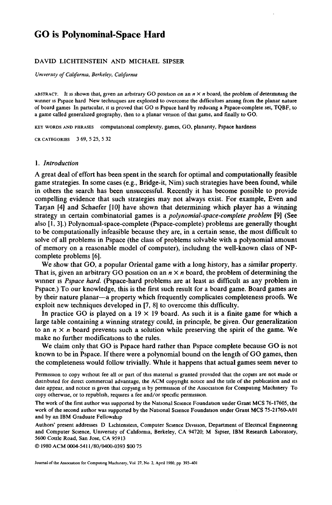# **GO is Polynominal-Space Hard**

#### DAVID LICHTENSTEIN AND MICHAEL SIPSER

*Umversay of Cahforma, Berkeley, Cahforma* 

ABSTRACT. It is shown that, given an arbitrary GO position on an  $n \times n$  board, the problem of determining the winner is Pspace hard New techniques are exploited to overcome the difficulties arising from the planar nature of board games In parucular, tt ts proved that GO ts Pspace hard by reducing a Pspace-complete set, TQBF, to a game called generahzed geography, then to a planar version of that game, and finally to GO.

KEY WORDS AND PHRASES computational complexity, games, GO, planarity, Pspace hardness

CR CATEGORIES 3 69, 5 25, 5 32

### *1. Introduction*

A great deal of effort has been spent in the search for optimal and computationally feasible game strategies. In some cases (e.g., Bridge-it, Nim) such strategies have been found, while in others the search has been unsuccessful. Recently it has become possible to provide compelling evidence that such strategies may not always exist. For example, Even and Tarjan [4] and Schaefer [10] have shown that determining which player has a winning strategy m certain combinatorial games is a *polynomial-space-complete problem* [9] (See also [l, 3].) Polynomial-space-complete (Pspace-complete) problems are generally thought to be computationally infeasible because they are, in a certain sense, the most difficult to solve of all problems in Pspace (the class of problems solvable with a polynomial amount of memory on a reasonable model of computer), including the well-known class of NPcomplete problems [6].

We show that GO, a popular Oriental game with a long history, has a similar property. That is, given an arbitrary GO position on an  $n \times n$  board, the problem of determining the winner is *Pspace hard.* (Pspace-hard problems are at least as difficult as any problem in Pspace.) To our knowledge, this is the first such result for a board game. Board games are by their nature planar--a property which frequently complicates completeness proofs. We exploit new techniques developed in [7, 8] to overcome this difficulty.

In practice GO is played on a  $19 \times 19$  board. As such it is a finite game for which a large table containing a winning strategy could, in prinople, be given. Our generalization to an  $n \times n$  board prevents such a solution while preserving the spirit of the game. We make no further modifications to the rules.

We claim only that GO is Pspace hard rather than Pspace complete because GO is not known to be in Pspace. If there were a polynomial bound on the length of GO games, then the completeness would follow trivially. Whde it happens that actual games seem never to

Permission to copy without fee all or part of this material is granted provided that the copies are not made or distributed for direct commercial advantage, the ACM copyright notice and the title of the publication and its date appear, and notice is given that copying is by permission of the Association for Computing Machinery To copy otherwise, or to republish, requires a fee and/or specific permission.

The work of the first author was supported by the National Soence Foundation under Grant MCS 76-17605, the work of the second author was supported by the National Science Foundation under Grant MCS 75-21760-A01 and by an IBM Graduate Fellowship

Authors' present addresses D Lichtenstein, Computer Science Division, Department of Electrical Engineering and Computer Science, Umverslty of Cahforma, Berkeley, CA 94720; M Sipser, IBM Research Laboratory, 5600 Cottle Road, San Jose, CA 95913

© 1980 ACM 0004-5411/80/0400-0393 \$00 75

Journal of the Association for Computing Machinery, Vol 27, No 2, April 1980, pp 393-401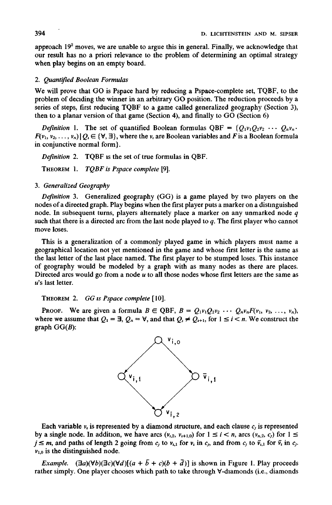approach  $19<sup>2</sup>$  moves, we are unable to argue this in general. Finally, we acknowledge that our result has no a priori relevance to the problem of determining an optimal strategy when play begins on an empty board.

#### *2. Quantified Boolean Formulas*

We will prove that GO is Pspace hard by reducing a Pspace-complete set, TQBF, to the problem of deciding the winner in an arbitrary GO position. The reduction proceeds by a series of steps, first reducing TQBF to a game called generalized geography (Section 3), then to a planar version of that game (Section 4), and finally to  $G\overline{O}$  (Section 6)

*Definition 1.* The set of quantified Boolean formulas QBF =  ${Q_1v_1Q_2v_2 \cdots Q_nv_n}$ .  $F(v_1, v_2, \ldots, v_n) | Q_i \in \{ \forall, \exists \}$ , where the  $v_i$  are Boolean variables and *F* is a Boolean formula in conjunctive normal form}.

*Definition* 2. TQBF is the set of true formulas in QBF. THEOREM 1. *TQBF is Pspace complete* [9].

# *3. Generalized Geography*

*Definition* 3. Generalized geography (GG) is a game played by two players on the nodes of a directed graph. Play begins when the first player puts a marker on a distinguished node. In subsequent turns, players alternately place a marker on any unmarked node q such that there is a directed arc from the last node played to  $q$ . The first player who cannot move loses.

This is a generalization of a commonly played game in which players must name a geographical location not yet mentioned in the game and whose first letter is the same as the last letter of the last place named. The first player to be stumped loses. This instance of geography would be modeled by a graph with as many nodes as there are places. Directed arcs would go from a node  $u$  to all those nodes whose first letters are the same as u's last letter.

THEOREM 2. *GG Is Pspace complete* [10].

**PROOF.** We are given a formula  $B \in \text{QBF}$ ,  $B = Q_1v_1Q_2v_2 \cdots Q_nv_nF(v_1, v_2, \ldots, v_n)$ , where we assume that  $Q_1 = \exists$ ,  $Q_n = \forall$ , and that  $Q_i \neq Q_{i+1}$ , for  $1 \leq i \leq n$ . We construct the graph  $GG(B)$ :



Each variable  $v_t$  is represented by a diamond structure, and each clause  $c_t$  is represented by a single node. In addition, we have arcs  $(v_{i,2}, v_{i+1,0})$  for  $1 \le i \le n$ , arcs  $(v_{n,2}, c_j)$  for  $1 \le$  $j \leq m$ , and paths of length 2 going from  $c_j$  to  $v_{i,1}$  for  $v_i$  in  $c_j$ , and from  $c_j$  to  $\bar{v}_{i,1}$  for  $\bar{v}_i$  in  $c_j$ .  $v_{1,0}$  is the distinguished node.

*Example.*  $(\exists a)(\forall b)(\exists c)(\forall d)[(a + \bar{b} + c)(b + \bar{d})]$  is shown in Figure 1. Play proceeds rather simply. One player chooses which path to take through V-diamonds (i.e., diamonds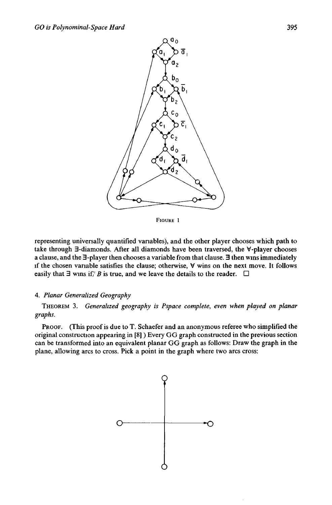

FIGURE 1

representing universally quantified variables), and the other player chooses which path to take through  $\exists$ -diamonds. After all diamonds have been traversed, the  $\forall$ -player chooses a clause, and the  $\exists$ -player then chooses a variable from that clause.  $\exists$  then wins immediately if the chosen variable satisfies the clause; otherwise,  $\forall$  wins on the next move. It follows easily that  $\exists$  wins if, *B* is true, and we leave the details to the reader.  $\square$ 

# 4. Planar Generalized Geography

THEOREM 3. Generalized geography is Pspace complete, even when played on planar  $\mathcal{P}$ 

PROOF. (This proof is due to T. Schaefer and an anonymous referee who simplified the original construction appearing in [8] ) Every GG graph constructed in the previous section can be transformed into an equivalent planar GG graph as follows: Draw the graph in the plane, allowing arcs to cross. Pick a point in the graph where two arcs cross:

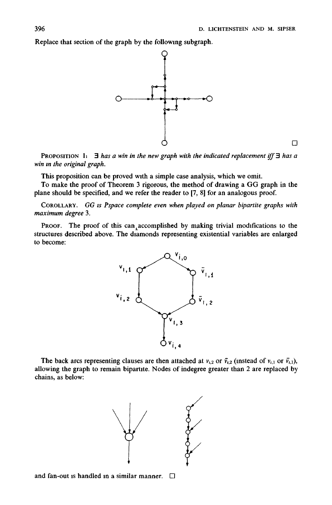Replace that section of the graph by the following subgraph.



PROPOSITION  $h$   $\exists$  has a win in the new graph with the indicated replacement iff  $\exists$  has a *win m the original graph.* 

This proposition can be proved with a simple case analysis, which we omit.

To make the proof of Theorem 3 rigorous, the method of drawing a GG graph in the plane should be specified, and we refer the reader to [7, 8] for an analogous proof.

COROLLARY. *GG ts Pspace complete even when played on planar bipartite graphs with maximum degree 3.* 

PROOF. The proof of this can accomplished by making trivial modifications to the structures described above. The diamonds representing existential variables are enlarged to become:



The back arcs representing clauses are then attached at  $v_{i,2}$  or  $\bar{v}_{i,2}$  (instead of  $v_{i,1}$  or  $\bar{v}_{i,1}$ ), allowing the graph to remain bipartite. Nodes of indegree greater than 2 are replaced by chains, as below:



and fan-out is handled in a similar manner.  $\square$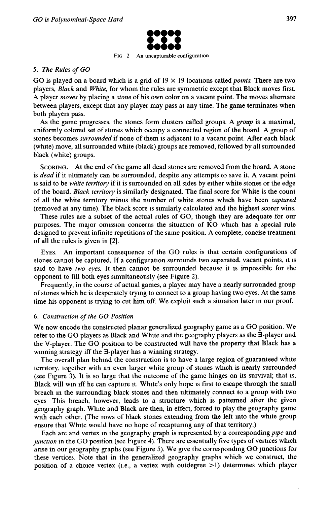

FIG 2 An uncapturable configuration

# *5. The Rules of GO*

GO is played on a board which is a grid of  $19 \times 19$  locations called *points*. There are two players, *Black* and *White,* for whom the rules are symmetric except that Black moves first. A player *moves* by placing a *stone* of his own color on a vacant point. The moves alternate between players, except that any player may pass at any time. The game terminates when both players pass.

As the game progresses, the stones form clusters called groups. A *group* is a maximal, uniformly colored set of stones which occupy a connected region of the board A group of stones becomes *surrounded* if none of them is adjacent to a vacant point. After each black (white) move, all surrounded white (black) groups are removed, followed by all surrounded black (white) groups.

SCORING. At the end of the game all dead stones are removed from the board. A stone is *dead* if it ultimately can be surrounded, despite any attempts to save it. A vacant point is said to be *white territory* if it is surrounded on all sides by either white stones or the edge of the board. *Black territory* is similarly designated. The final score for White is the count of all the white territory minus the number of white stones which have been *captured*  (removed at any time). The black score is slmdarly calculated and the highest scorer wins.

These rules are a subset of the actual rules of GO, though they are adequate for our purposes. The major omission concerns the situauon of KO which has a special rule designed to prevent infinite repetitions of the same position. A complete, concise treatment of all the rules is given in [2].

EYES. An important consequence of the GO rules is that certain configurations of stones cannot be captured. If a configuration surrounds two separated, vacant points, it is said to have *two eyes.* It then cannot be surrounded because it is impossible for the opponent to fill both eyes simultaneously (see Figure 2).

Frequently, in the course of actual games, a player may have a nearly surrounded group of stones which he is desperately trying to connect to a group having two eyes. At the same time his opponent is trying to cut him off. We exploit such a situation later m our proof.

# *6. Construction of the GO Position*

We now encode the constructed planar generalized geography game as a GO position. We refer to the GO players as Black and White and the geography players as the  $\exists$ -player and the V-player. The GO position to be constructed will have the property that Black has a winning strategy iff the 3-player has a winning strategy.

The overall plan behind the construction is to have a large region of guaranteed whtte territory, together with an even larger white group of stones which is nearly surrounded (see Figure 3). It is so large that the outcome of the game hinges on its survival; that is, Black will wm lff he can capture it. Whlte's only hope is first to escape through the small breach in the surrounding black stones and then ultimately connect to a group with two eyes This breach, however, leads to a structure which is patterned after the given geography graph. White and Black are then, in effect, forced to play the geography game with each other. (The rows of black stones extending from the left into the white group ensure that White would have no hope of recapturing any of that territory.)

Each arc and vertex m the geography graph is represented by a corresponding *pipe* and *junction* in the GO position (see Figure 4). There are essentially five types of vertices which anse in our geography graphs (see Figure 5). We gwe the corresponding GO junctions for these vertices. Note that in the generalized geography graphs which we construct, the position of a choice vertex  $(i.e., a$  vertex with outdegree  $>1$ ) determines which player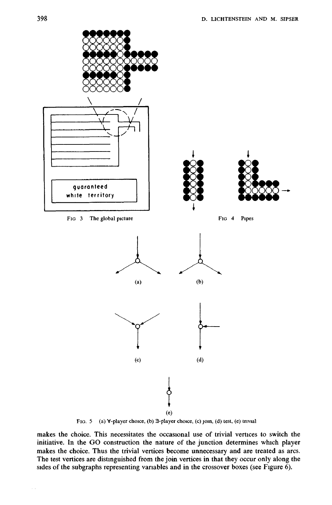

FIG. 5 (a)  $\forall$ -player choice, (b) 3-player choice, (c) join, (d) test, (e) trivial

makes the choice. This necessitates the occasional use of trivial vertices to switch the initiative. In the GO construction the nature of the junction determines which player makes the choice. Thus the trivial vertices become unnecessary and are treated as arcs. The test vertices are distinguished from the join vertices in that they occur only along the sides of the subgraphs representing variables and in the crossover boxes (see Figure 6).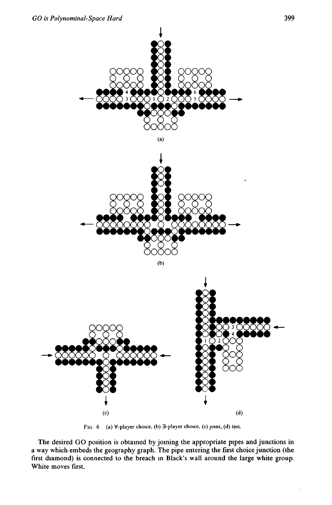

FIG 6 (a)  $\forall$ -player choice, (b) 3-player choice, (c) joint, (d) test.

 $\qquad \qquad \textbf{(c)} \qquad \qquad \textbf{(d)}$ 

The desired GO position is obtained by joining the appropriate pipes and junctions in a way which embeds the geography graph. The pipe entering the first choice junction (the first diamond) is connected to the breach m Black's wall around the large white group. White moves first.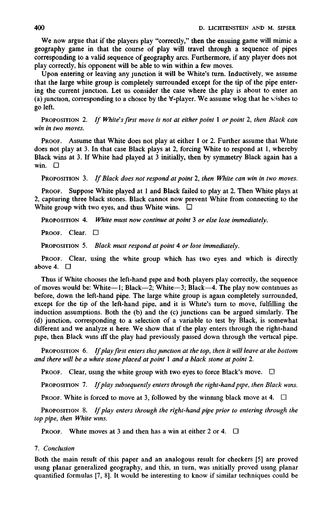We now argue that if the players play "correctly," then the ensuing game will mimic a geography game in that the course of play will travel through a sequence of pipes corresponding to a valid sequence of geography arcs. Furthermore, if any player does not play correctly, his opponent will be able to win within a few moves.

Upon entering or leaving any junction it will be White's turn. Inductively, we assume that the large white group is completely surrounded except for the tip of the pipe entering the current junction. Let us consider the case where the play is about to enter an (a) junction, corresponding to a choice by the V-player. We assume wlog that he wishes to go left.

PROPOSITION 2. If White's first move is not at either point 1 or point 2, then Black can *win in two moves.* 

PROOF. Assume that White does not play at either 1 or 2. Further assume that White does not play at 3. In that case Black plays at 2, forcing White to respond at 1, whereby Black wins at 3. If White had played at 3 initially, then by symmetry Black again has a win.  $\Box$ 

PROPOSITION 3. *If Black does not respond at point 2, then White can win in two moves.* 

PROOF. Suppose White played at 1 and Black failed to play at 2. Then White plays at 2, capturing three black stones. Black cannot now prevent White from connecting to the White group with two eyes, and thus White wins.  $\square$ 

PROPOSITION 4. *White must now continue at point 3 or else lose immediately.* 

PROOF. Clear.  $\square$ 

PROPOSITION 5. *Black must respond at point 4 or lose immediately.* 

PROOF. Clear, using the white group which has two eyes and which is directly above 4.  $\Box$ 

Thus if White chooses the left-hand pipe and both players play correctly, the sequence of moves would be: White--1; Black--2; White--3; Black--4. The play now continues as before, down the left-hand pipe. The large white group is again completely surrounded, except for the tip of the left-hand pipe, and it is Whlte's turn to move, fulfilling the induction assumptions. Both the (b) and the (c) junctions can be argued similarly. The (d) junction, corresponding to a selection of a variable to test by Black, is somewhat different and we analyze it here. We show that if the play enters through the right-hand pipe, then Black wins lff the play had previously passed down through the verucal pipe.

PROPOSITION 6. If play first enters this junction at the top, then it will leave at the bottom and there will be a white stone placed at point 1 and a black stone at point 2.

**PROOF.** Clear, using the white group with two eyes to force Black's move.  $\Box$ 

PROPOSITION 7. *If play subsequently enters through the right-hand pipe, then Black wins.* 

PROOF. White is forced to move at 3, followed by the winning black move at 4.  $\Box$ 

PROPOSITION 8. *lf play enters through the right-hand pipe prior to entering through the top pipe, then White wins.* 

**PROOF.** White moves at 3 and then has a win at either 2 or 4.  $\Box$ 

### *7. Conclusion*

Both the main result of this paper and an analogous result for checkers [5] are proved using planar generalized geography, and this, m turn, was initially proved using planar quantified formulas [7, 8]. It would be interesting to know if similar techniques could be